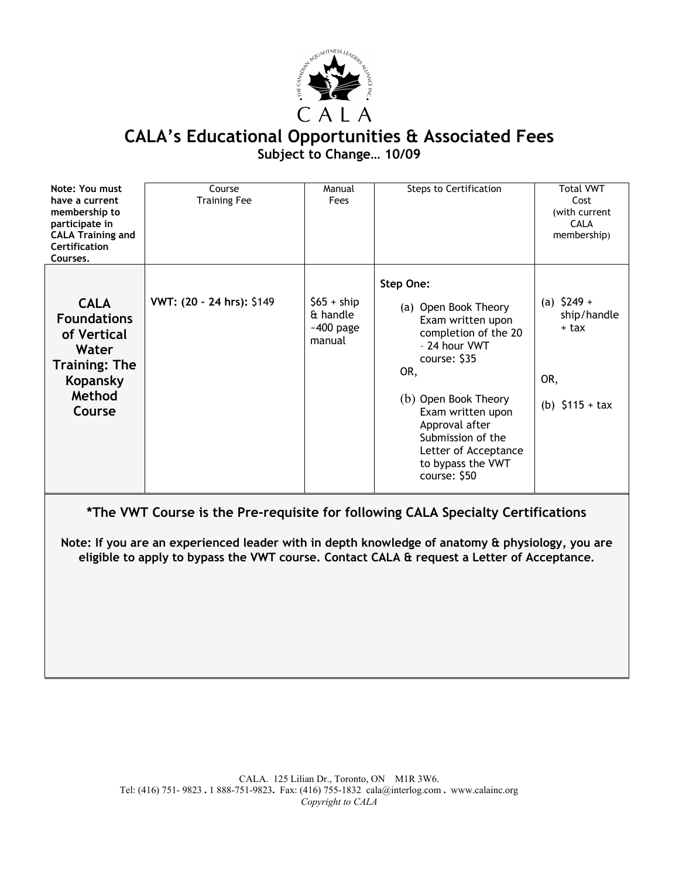

## **CALA's Educational Opportunities & Associated Fees Subject to Change… 10/09**

| Note: You must<br>have a current<br>membership to<br>participate in<br><b>CALA Training and</b><br>Certification<br>Courses. | Course<br><b>Training Fee</b> | Manual<br>Fees                                    | <b>Steps to Certification</b>                                                                                                                                                                                                                                           | <b>Total VWT</b><br>Cost<br>(with current<br><b>CALA</b><br>membership) |
|------------------------------------------------------------------------------------------------------------------------------|-------------------------------|---------------------------------------------------|-------------------------------------------------------------------------------------------------------------------------------------------------------------------------------------------------------------------------------------------------------------------------|-------------------------------------------------------------------------|
| <b>CALA</b><br><b>Foundations</b><br>of Vertical<br>Water<br><b>Training: The</b><br>Kopansky<br>Method<br>Course            | VWT: (20 - 24 hrs): \$149     | $$65 + ship$<br>& handle<br>$-400$ page<br>manual | Step One:<br>(a) Open Book Theory<br>Exam written upon<br>completion of the 20<br>- 24 hour VWT<br>course: \$35<br>OR,<br>(b) Open Book Theory<br>Exam written upon<br>Approval after<br>Submission of the<br>Letter of Acceptance<br>to bypass the VWT<br>course: \$50 | (a) $$249 +$<br>ship/handle<br>+ tax<br>OR,<br>(b) $$115 + tax$         |

**\*The VWT Course is the Pre-requisite for following CALA Specialty Certifications**

**Note: If you are an experienced leader with in depth knowledge of anatomy & physiology, you are eligible to apply to bypass the VWT course. Contact CALA & request a Letter of Acceptance.**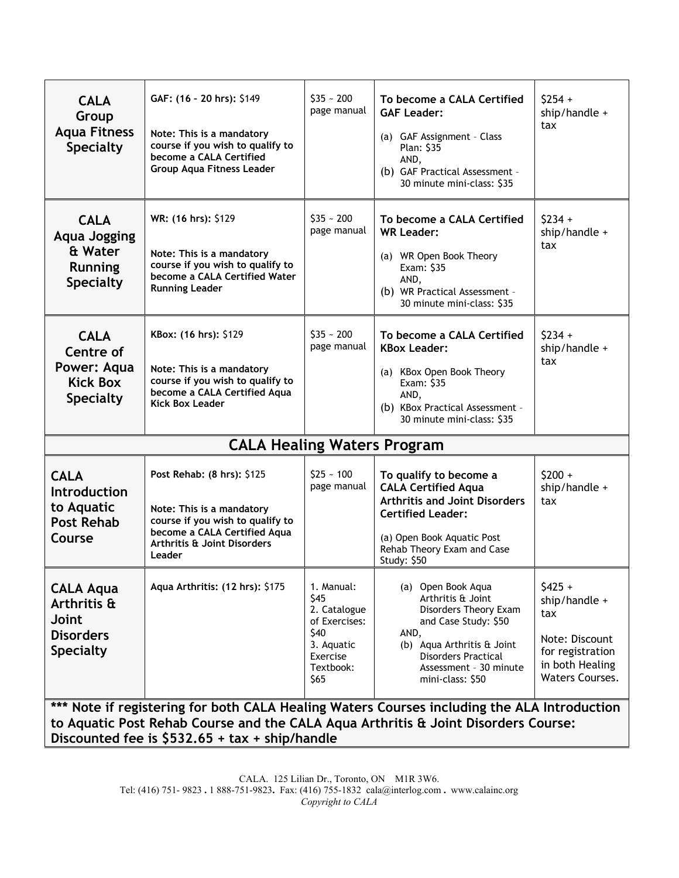| <b>CALA</b><br>Group<br><b>Aqua Fitness</b><br><b>Specialty</b>                                                                                                                                                                      | GAF: (16 - 20 hrs): \$149<br>Note: This is a mandatory<br>course if you wish to qualify to<br>become a CALA Certified<br><b>Group Aqua Fitness Leader</b>            | $$35 - 200$<br>page manual                                                                                 | To become a CALA Certified<br><b>GAF Leader:</b><br>(a) GAF Assignment - Class<br><b>Plan: S35</b><br>AND,<br>(b) GAF Practical Assessment -<br>30 minute mini-class: \$35                                 | $$254 +$<br>ship/handle +<br>tax                                                                             |  |  |  |
|--------------------------------------------------------------------------------------------------------------------------------------------------------------------------------------------------------------------------------------|----------------------------------------------------------------------------------------------------------------------------------------------------------------------|------------------------------------------------------------------------------------------------------------|------------------------------------------------------------------------------------------------------------------------------------------------------------------------------------------------------------|--------------------------------------------------------------------------------------------------------------|--|--|--|
| <b>CALA</b><br><b>Aqua Jogging</b><br>& Water<br>Running<br><b>Specialty</b>                                                                                                                                                         | WR: (16 hrs): \$129<br>Note: This is a mandatory<br>course if you wish to qualify to<br>become a CALA Certified Water<br><b>Running Leader</b>                       | $$35 - 200$<br>page manual                                                                                 | To become a CALA Certified<br><b>WR Leader:</b><br>(a) WR Open Book Theory<br>Exam: \$35<br>AND,<br>(b) WR Practical Assessment -<br>30 minute mini-class: \$35                                            | $$234 +$<br>ship/handle +<br>tax                                                                             |  |  |  |
| <b>CALA</b><br>Centre of<br>Power: Aqua<br><b>Kick Box</b><br><b>Specialty</b>                                                                                                                                                       | KBox: (16 hrs): \$129<br>Note: This is a mandatory<br>course if you wish to qualify to<br>become a CALA Certified Aqua<br><b>Kick Box Leader</b>                     | $$35 - 200$<br>page manual                                                                                 | To become a CALA Certified<br><b>KBox Leader:</b><br>(a) KBox Open Book Theory<br>Exam: \$35<br>AND,<br>(b) KBox Practical Assessment -<br>30 minute mini-class: \$35                                      | $$234 +$<br>ship/handle +<br>tax                                                                             |  |  |  |
| <b>CALA Healing Waters Program</b>                                                                                                                                                                                                   |                                                                                                                                                                      |                                                                                                            |                                                                                                                                                                                                            |                                                                                                              |  |  |  |
| <b>CALA</b><br><b>Introduction</b><br>to Aquatic<br><b>Post Rehab</b><br>Course                                                                                                                                                      | Post Rehab: (8 hrs): \$125<br>Note: This is a mandatory<br>course if you wish to qualify to<br>become a CALA Certified Aqua<br>Arthritis & Joint Disorders<br>Leader | $$25 - 100$<br>page manual                                                                                 | To qualify to become a<br><b>CALA Certified Aqua</b><br><b>Arthritis and Joint Disorders</b><br><b>Certified Leader:</b><br>(a) Open Book Aquatic Post<br>Rehab Theory Exam and Case<br><b>Study: \$50</b> | $$200 +$<br>ship/handle +<br>tax                                                                             |  |  |  |
| <b>CALA Aqua</b><br>Arthritis &<br>Joint<br><b>Disorders</b><br><b>Specialty</b>                                                                                                                                                     | Aqua Arthritis: (12 hrs): \$175                                                                                                                                      | 1. Manual:<br>\$45<br>2. Catalogue<br>of Exercises:<br>\$40<br>3. Aquatic<br>Exercise<br>Textbook:<br>\$65 | (a) Open Book Aqua<br>Arthritis & Joint<br>Disorders Theory Exam<br>and Case Study: \$50<br>AND,<br>(b) Aqua Arthritis & Joint<br><b>Disorders Practical</b><br>Assessment - 30 minute<br>mini-class: \$50 | $$425 +$<br>ship/handle +<br>tax<br>Note: Discount<br>for registration<br>in both Healing<br>Waters Courses. |  |  |  |
| *** Note if registering for both CALA Healing Waters Courses including the ALA Introduction<br>to Aquatic Post Rehab Course and the CALA Aqua Arthritis & Joint Disorders Course:<br>Discounted fee is $$532.65 + tax + ship/handle$ |                                                                                                                                                                      |                                                                                                            |                                                                                                                                                                                                            |                                                                                                              |  |  |  |

CALA. 125 Lilian Dr., Toronto, ON M1R 3W6. Tel: (416) 751- 9823 . 1 888-751-9823. Fax: (416) 755-1832 cala@interlog.com . www.calainc.org *Copyright to CALA*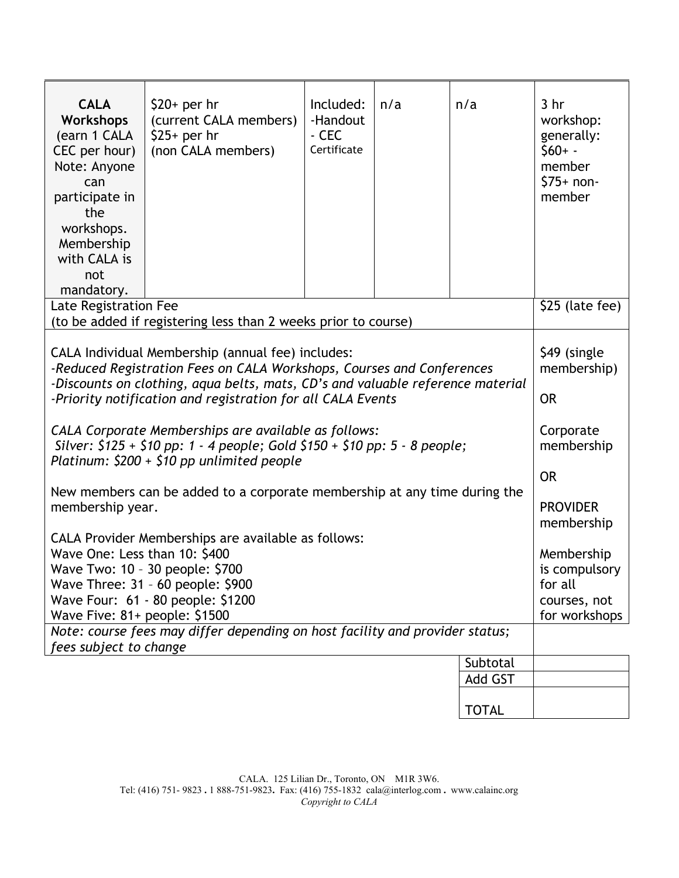| <b>CALA</b><br><b>Workshops</b><br>(earn 1 CALA<br>CEC per hour)<br>Note: Anyone<br>can<br>participate in<br>the<br>workshops.<br>Membership<br>with CALA is<br>not<br>mandatory.                            | $$20+$ per hr<br>(current CALA members)<br>$$25+$ per hr<br>(non CALA members) | Included:<br>-Handout<br>- CEC<br>Certificate | n/a | n/a          | 3 <sub>hr</sub><br>workshop:<br>generally:<br>$$60+ -$<br>member<br>$$75+non-$<br>member |
|--------------------------------------------------------------------------------------------------------------------------------------------------------------------------------------------------------------|--------------------------------------------------------------------------------|-----------------------------------------------|-----|--------------|------------------------------------------------------------------------------------------|
| Late Registration Fee                                                                                                                                                                                        | \$25 (late fee)                                                                |                                               |     |              |                                                                                          |
|                                                                                                                                                                                                              | (to be added if registering less than 2 weeks prior to course)                 |                                               |     |              |                                                                                          |
| CALA Individual Membership (annual fee) includes:<br>-Reduced Registration Fees on CALA Workshops, Courses and Conferences<br>-Discounts on clothing, aqua belts, mats, CD's and valuable reference material | \$49 (single<br>membership)                                                    |                                               |     |              |                                                                                          |
| -Priority notification and registration for all CALA Events                                                                                                                                                  | <b>OR</b>                                                                      |                                               |     |              |                                                                                          |
| CALA Corporate Memberships are available as follows:<br>Silver: $$125 + $10$ pp: 1 - 4 people; Gold $$150 + $10$ pp: 5 - 8 people;<br>Platinum: $$200 + $10$ pp unlimited people                             | Corporate<br>membership                                                        |                                               |     |              |                                                                                          |
|                                                                                                                                                                                                              | <b>OR</b>                                                                      |                                               |     |              |                                                                                          |
| New members can be added to a corporate membership at any time during the<br>membership year.                                                                                                                |                                                                                |                                               |     |              | <b>PROVIDER</b><br>membership                                                            |
| CALA Provider Memberships are available as follows:                                                                                                                                                          | Membership                                                                     |                                               |     |              |                                                                                          |
| Wave One: Less than 10: \$400<br>Wave Two: 10 - 30 people: \$700                                                                                                                                             |                                                                                |                                               |     |              | is compulsory                                                                            |
| Wave Three: 31 - 60 people: \$900                                                                                                                                                                            | for all                                                                        |                                               |     |              |                                                                                          |
| Wave Four: 61 - 80 people: \$1200                                                                                                                                                                            | courses, not                                                                   |                                               |     |              |                                                                                          |
| Wave Five: 81+ people: \$1500<br>Note: course fees may differ depending on host facility and provider status;                                                                                                | for workshops                                                                  |                                               |     |              |                                                                                          |
| fees subject to change                                                                                                                                                                                       |                                                                                |                                               |     |              |                                                                                          |
|                                                                                                                                                                                                              |                                                                                |                                               |     | Subtotal     |                                                                                          |
|                                                                                                                                                                                                              |                                                                                |                                               |     | Add GST      |                                                                                          |
|                                                                                                                                                                                                              |                                                                                |                                               |     | <b>TOTAL</b> |                                                                                          |